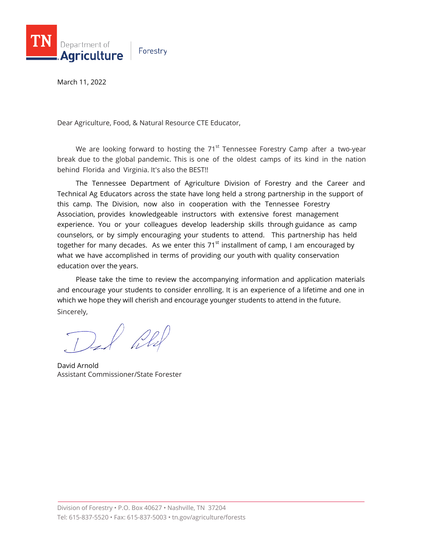

March 11, 2022

Dear Agriculture, Food, & Natural Resource CTE Educator,

We are looking forward to hosting the 71 $^{\rm st}$  Tennessee Forestry Camp after a two-year break due to the global pandemic. This is one of the oldest camps of its kind in the nation behind Florida and Virginia. It's also the BEST!!

The Tennessee Department of Agriculture Division of Forestry and the Career and Technical Ag Educators across the state have long held a strong partnership in the support of this camp. The Division, now also in cooperation with the Tennessee Forestry Association, provides knowledgeable instructors with extensive forest management experience. You or your colleagues develop leadership skills through guidance as camp counselors, or by simply encouraging your students to attend. This partnership has held together for many decades. As we enter this 71<sup>st</sup> installment of camp, I am encouraged by what we have accomplished in terms of providing our youth with quality conservation education over the years.

Please take the time to review the accompanying information and application materials and encourage your students to consider enrolling. It is an experience of a lifetime and one in which we hope they will cherish and encourage younger students to attend in the future. Sincerely,

Del Wy

David Arnold Assistant Commissioner/State Forester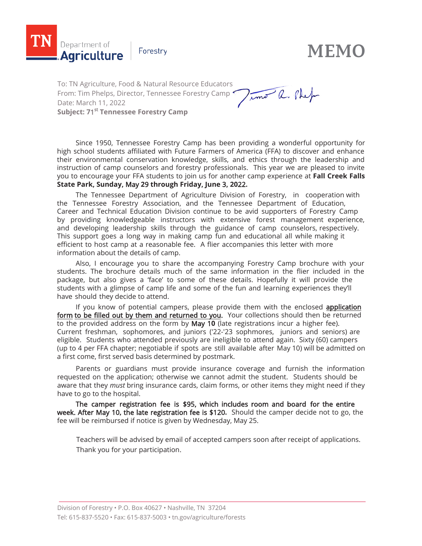

**MEMO**

To: TN Agriculture, Food & Natural Resource Educators Timo a. Phef From: Tim Phelps, Director, Tennessee Forestry Camp Date: March 11, 2022 **Subject: 7**1 st **Tennessee Forestry Camp**

Since 1950, Tennessee Forestry Camp has been providing a wonderful opportunity for high school students affiliated with Future Farmers of America (FFA) to discover and enhance their environmental conservation knowledge, skills, and ethics through the leadership and instruction of camp counselors and forestry professionals. This year we are pleased to invite you to encourage your FFA students to join us for another camp experience at **Fall Creek Falls State Park, Sunday,** May **2**9 **through Friday, June** 3**, 20**22**.**

The Tennessee Department of Agriculture Division of Forestry, in cooperation with the Tennessee Forestry Association, and the Tennessee Department of Education, Career and Technical Education Division continue to be avid supporters of Forestry Camp by providing knowledgeable instructors with extensive forest management experience, and developing leadership skills through the guidance of camp counselors, respectively. This support goes a long way in making camp fun and educational all while making it efficient to host camp at a reasonable fee. A flier accompanies this letter with more information about the details of camp.

Also, I encourage you to share the accompanying Forestry Camp brochure with your students. The brochure details much of the same information in the flier included in the package, but also gives a 'face' to some of these details. Hopefully it will provide the students with a glimpse of camp life and some of the fun and learning experiences they'll have should they decide to attend.

If you know of potential campers, please provide them with the enclosed application form to be filled out by them and returned to you. Your collections should then be returned to the provided address on the form by May 1**0** (late registrations incur a higher fee). Current freshman, sophomores, and juniors ('22-'23 sophmores, juniors and seniors) are eligible. Students who attended previously are ineligible to attend again. Sixty (60) campers (up to 4 per FFA chapter; negotiable if spots are still available after May 10) will be admitted on a first come, first served basis determined by postmark.

Parents or guardians must provide insurance coverage and furnish the information requested on the application; otherwise we cannot admit the student. Students should be aware that they *must* bring insurance cards, claim forms, or other items they might need if they have to go to the hospital.

The camper registration fee is \$95**,** which includes room and board for the entire week. After May 10**,** the late registration fee is \$120**.** Should the camper decide not to go, the fee will be reimbursed if notice is given by Wednesday, May 25.

Teachers will be advised by email of accepted campers soon after receipt of applications. Thank you for your participation.